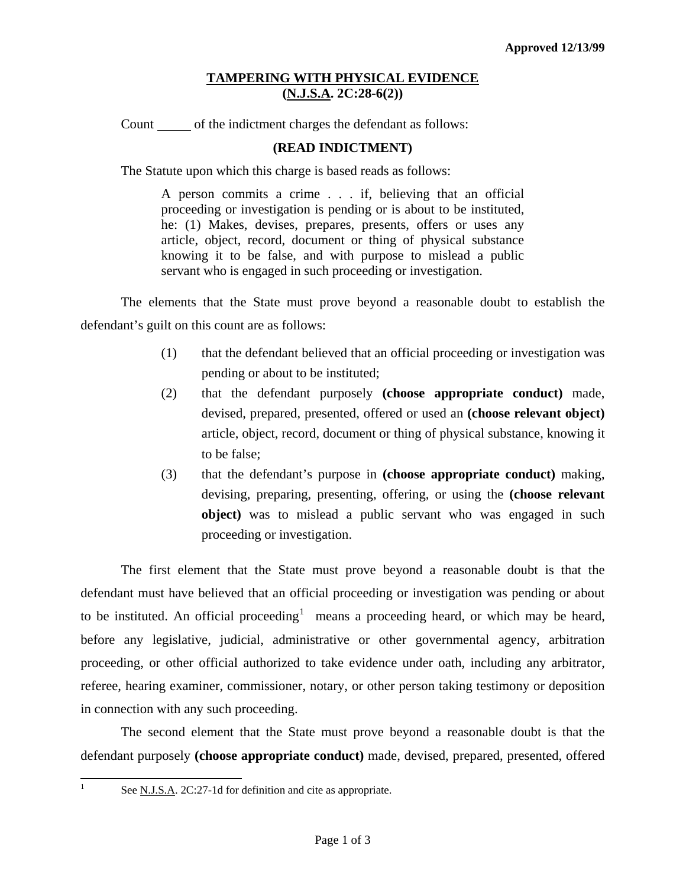## **TAMPERING WITH PHYSICAL EVIDENCE (N.J.S.A. 2C:28-6(2))**

Count of the indictment charges the defendant as follows:

## **(READ INDICTMENT)**

The Statute upon which this charge is based reads as follows:

A person commits a crime . . . if, believing that an official proceeding or investigation is pending or is about to be instituted, he: (1) Makes, devises, prepares, presents, offers or uses any article, object, record, document or thing of physical substance knowing it to be false, and with purpose to mislead a public servant who is engaged in such proceeding or investigation.

 The elements that the State must prove beyond a reasonable doubt to establish the defendant's guilt on this count are as follows:

- (1) that the defendant believed that an official proceeding or investigation was pending or about to be instituted;
- (2) that the defendant purposely **(choose appropriate conduct)** made, devised, prepared, presented, offered or used an **(choose relevant object)** article, object, record, document or thing of physical substance, knowing it to be false;
- (3) that the defendant's purpose in **(choose appropriate conduct)** making, devising, preparing, presenting, offering, or using the **(choose relevant object)** was to mislead a public servant who was engaged in such proceeding or investigation.

 The first element that the State must prove beyond a reasonable doubt is that the defendant must have believed that an official proceeding or investigation was pending or about to be instituted. An official proceeding<sup>[1](#page-0-0)</sup> means a proceeding heard, or which may be heard, before any legislative, judicial, administrative or other governmental agency, arbitration proceeding, or other official authorized to take evidence under oath, including any arbitrator, referee, hearing examiner, commissioner, notary, or other person taking testimony or deposition in connection with any such proceeding.

 The second element that the State must prove beyond a reasonable doubt is that the defendant purposely **(choose appropriate conduct)** made, devised, prepared, presented, offered

<span id="page-0-0"></span>|<br>|<br>|

See N.J.S.A. 2C:27-1d for definition and cite as appropriate.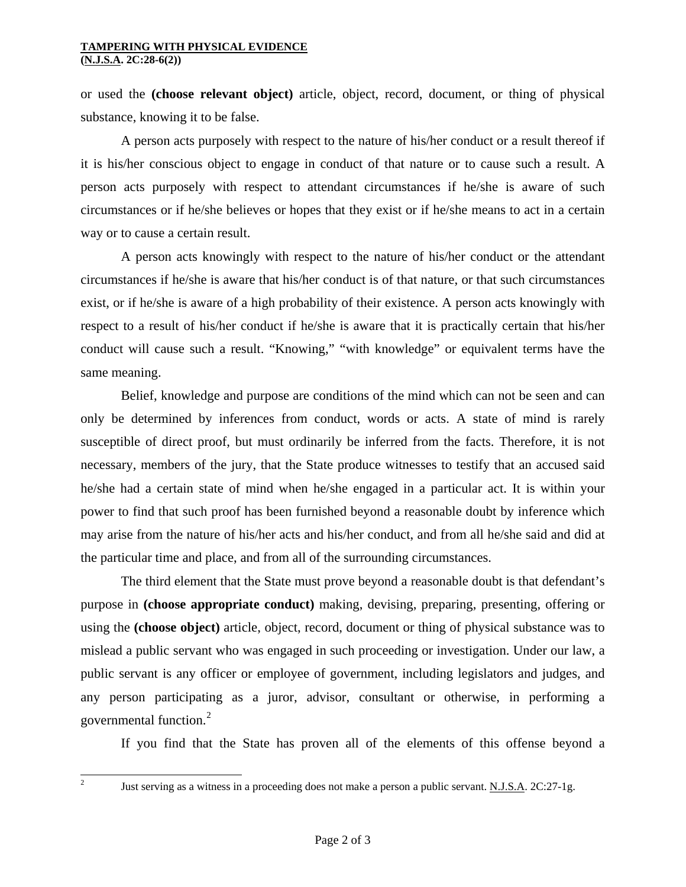## **TAMPERING WITH PHYSICAL EVIDENCE (N.J.S.A. 2C:28-6(2))**

or used the **(choose relevant object)** article, object, record, document, or thing of physical substance, knowing it to be false.

 A person acts purposely with respect to the nature of his/her conduct or a result thereof if it is his/her conscious object to engage in conduct of that nature or to cause such a result. A person acts purposely with respect to attendant circumstances if he/she is aware of such circumstances or if he/she believes or hopes that they exist or if he/she means to act in a certain way or to cause a certain result.

 A person acts knowingly with respect to the nature of his/her conduct or the attendant circumstances if he/she is aware that his/her conduct is of that nature, or that such circumstances exist, or if he/she is aware of a high probability of their existence. A person acts knowingly with respect to a result of his/her conduct if he/she is aware that it is practically certain that his/her conduct will cause such a result. "Knowing," "with knowledge" or equivalent terms have the same meaning.

 Belief, knowledge and purpose are conditions of the mind which can not be seen and can only be determined by inferences from conduct, words or acts. A state of mind is rarely susceptible of direct proof, but must ordinarily be inferred from the facts. Therefore, it is not necessary, members of the jury, that the State produce witnesses to testify that an accused said he/she had a certain state of mind when he/she engaged in a particular act. It is within your power to find that such proof has been furnished beyond a reasonable doubt by inference which may arise from the nature of his/her acts and his/her conduct, and from all he/she said and did at the particular time and place, and from all of the surrounding circumstances.

 The third element that the State must prove beyond a reasonable doubt is that defendant's purpose in **(choose appropriate conduct)** making, devising, preparing, presenting, offering or using the **(choose object)** article, object, record, document or thing of physical substance was to mislead a public servant who was engaged in such proceeding or investigation. Under our law, a public servant is any officer or employee of government, including legislators and judges, and any person participating as a juror, advisor, consultant or otherwise, in performing a governmental function.[2](#page-1-0)

If you find that the State has proven all of the elements of this offense beyond a

<span id="page-1-0"></span> $\frac{1}{2}$ 

Just serving as a witness in a proceeding does not make a person a public servant. N.J.S.A. 2C:27-1g.